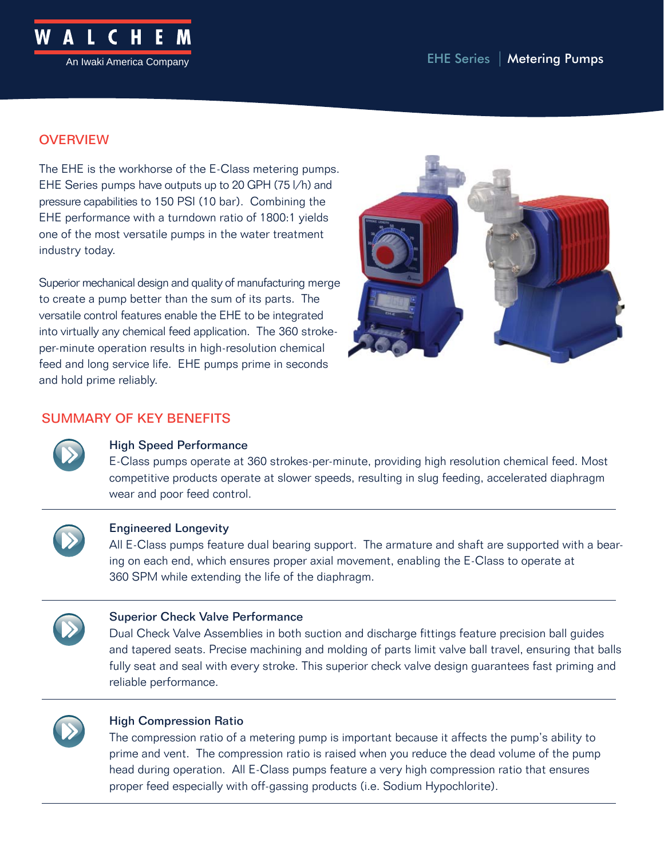

# **OVERVIEW**

The EHE is the workhorse of the E-Class metering pumps. EHE Series pumps have outputs up to 20 GPH (75 l/h) and pressure capabilities to 150 PSI (10 bar). Combining the EHE performance with a turndown ratio of 1800:1 yields one of the most versatile pumps in the water treatment industry today.

Superior mechanical design and quality of manufacturing merge to create a pump better than the sum of its parts. The versatile control features enable the EHE to be integrated into virtually any chemical feed application. The 360 strokeper-minute operation results in high-resolution chemical feed and long service life. EHE pumps prime in seconds and hold prime reliably.



# SUMMARY OF KEY BENEFITS



## High Speed Performance

E-Class pumps operate at 360 strokes-per-minute, providing high resolution chemical feed. Most competitive products operate at slower speeds, resulting in slug feeding, accelerated diaphragm wear and poor feed control.



#### Engineered Longevity

All E-Class pumps feature dual bearing support. The armature and shaft are supported with a bearing on each end, which ensures proper axial movement, enabling the E-Class to operate at 360 SPM while extending the life of the diaphragm.



## Superior Check Valve Performance

Dual Check Valve Assemblies in both suction and discharge fittings feature precision ball guides and tapered seats. Precise machining and molding of parts limit valve ball travel, ensuring that balls fully seat and seal with every stroke. This superior check valve design guarantees fast priming and reliable performance.



## High Compression Ratio

The compression ratio of a metering pump is important because it affects the pump's ability to prime and vent. The compression ratio is raised when you reduce the dead volume of the pump head during operation. All E-Class pumps feature a very high compression ratio that ensures proper feed especially with off-gassing products (i.e. Sodium Hypochlorite).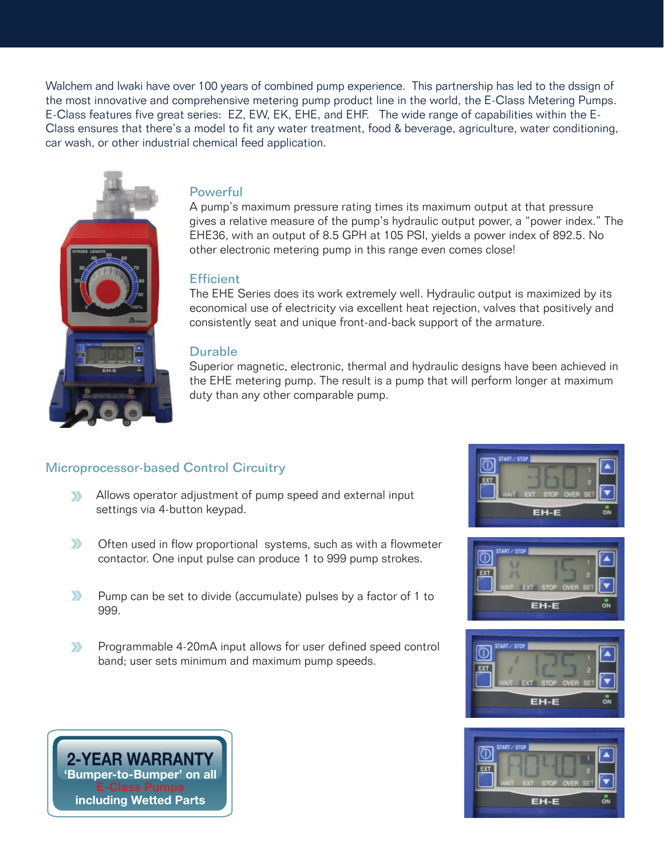Walchem and Iwaki have over 100 years of combined pump experience. This partnership has led to the dssign of the most innovative and comprehensive metering pump product line in the world, the E-Class Metering Pumps. E-Class features five great series: EZ, EW, EK, EHE, and EHF. The wide range of capabilities within the E-Class ensures that there's a model to fit any water treatment, food & beverage, agriculture, water conditioning, car wash, or other industrial chemical feed application.



# **Powerful**

A pump's maximum pressure rating times its maximum output at that pressure gives a relative measure of the pump's hydraulic output power, a "power index." The EHE36, with an output of 8.5 GPH at 105 PSI, yields a power index of 892.5. No other electronic metering pump in this range even comes close!

## **Efficient**

The EHE Series does its work extremely well. Hydraulic output is maximized by its economical use of electricity via excellent heat rejection, valves that positively and consistently seat and unique front-and-back support of the armature.

## Durable

Superior magnetic, electronic, thermal and hydraulic designs have been achieved in the EHE metering pump. The result is a pump that will perform longer at maximum duty than any other comparable pump.

## Microprocessor-based Control Circuitry

- Allows operator adjustment of pump speed and external input  $\sum$ settings via 4-button keypad.
- $\sum$ Often used in flow proportional systems, such as with a flowmeter contactor. One input pulse can produce 1 to 999 pump strokes.
- $\sum$ Pump can be set to divide (accumulate) pulses by a factor of 1 to 999.
- $\sum$ Programmable 4-20mA input allows for user defined speed control band; user sets minimum and maximum pump speeds.









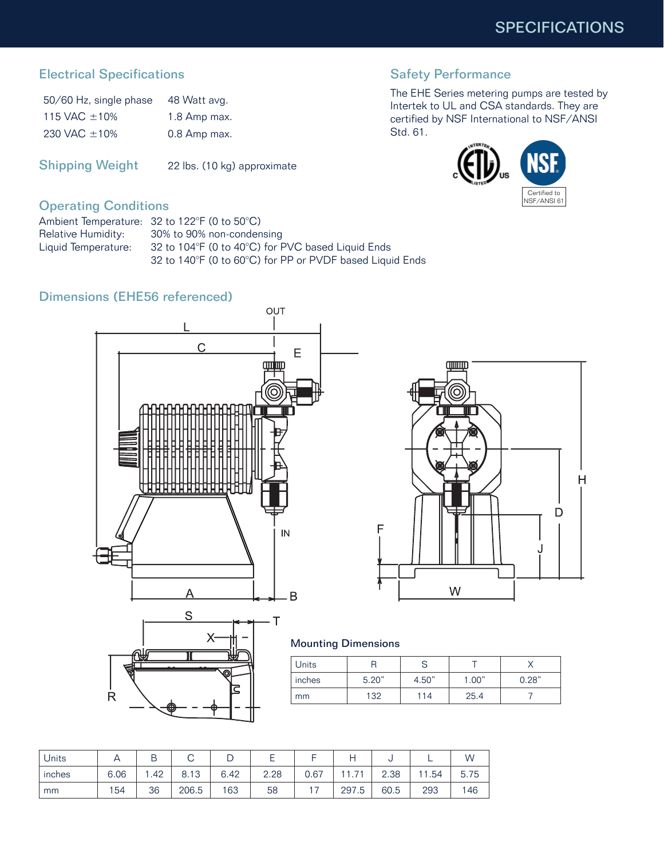# Electrical Specifications

| 50/60 Hz, single phase | 48 Watt avg. |
|------------------------|--------------|
| 115 VAC $\pm$ 10%      | 1.8 Amp max. |
| 230 VAC $\pm 10\%$     | 0.8 Amp max. |

Shipping Weight 22 lbs. (10 kg) approximate

# Safety Performance

The EHE Series metering pumps are tested by Intertek to UL and CSA standards. They are certified by NSF International to NSF/ANSI Std. 61.



# Operating Conditions

Ambient Temperature: 32 to 122°F (0 to 50°C) Relative Humidity: 30% to 90% non-condensing Liquid Temperature: 32 to 104°F (0 to 40°C) for PVC based Liquid Ends 32 to 140°F (0 to 60°C) for PP or PVDF based Liquid Ends

# Dimensions (EHE56 referenced)







#### Mounting Dimensions

| Units  |       |       |       |       |
|--------|-------|-------|-------|-------|
| inches | 5.20" | 4.50" | 1.00" | 0.28" |
| mm     | 132   | 114   | 25.4  |       |

| <b>Units</b> |      |     | $\check{ }$ |      |                |      |                      | v    |     | W    |
|--------------|------|-----|-------------|------|----------------|------|----------------------|------|-----|------|
| inches       | 6.06 | .42 | 13<br>8.    | 6.42 | 2.28<br>$\cap$ | 0.67 | 74<br>$\overline{ }$ | 2.38 | .54 | 5.75 |
| mm           | 154  | 36  | 206.5       | 163  | 58             | -    | 297<br>.5            | 60.5 | 293 | 146  |